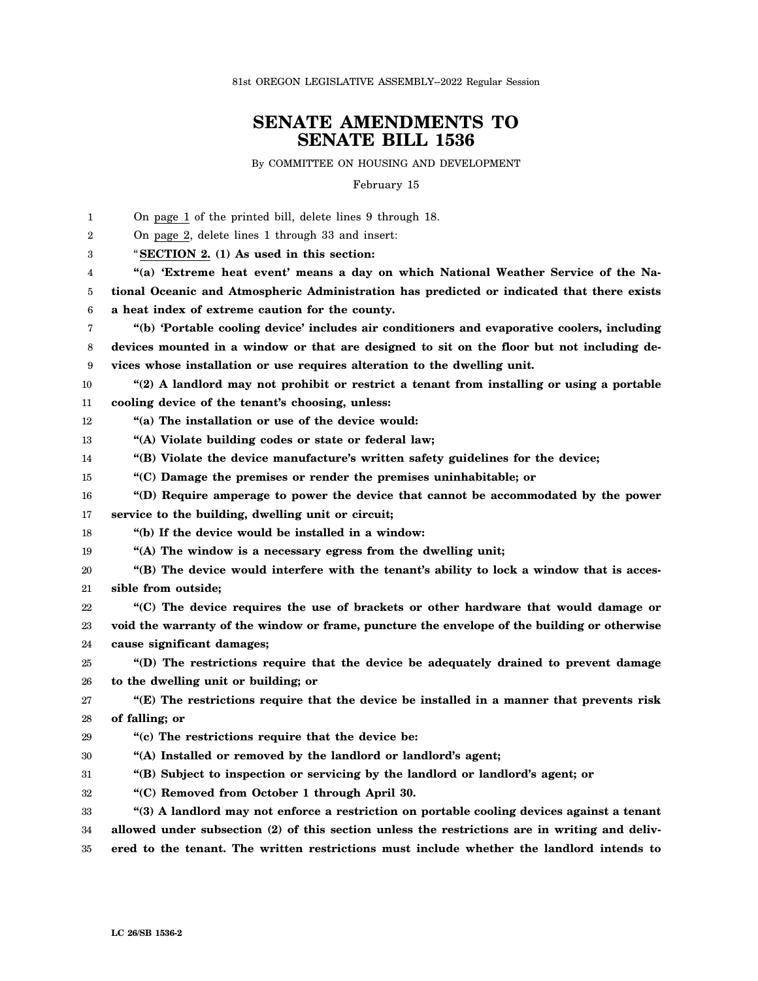81st OREGON LEGISLATIVE ASSEMBLY--2022 Regular Session

## **SENATE AMENDMENTS TO SENATE BILL 1536**

By COMMITTEE ON HOUSING AND DEVELOPMENT

February 15

1  $\mathfrak{D}$ 3 4 5 6 7 8 9 10 11 12 13 14 15 16 17 18 19 20 21 22 23 24 25 26 27 28 29 30 31 32 33 34 35 On page 1 of the printed bill, delete lines 9 through 18. On page 2, delete lines 1 through 33 and insert: "**SECTION 2. (1) As used in this section: "(a) 'Extreme heat event' means a day on which National Weather Service of the National Oceanic and Atmospheric Administration has predicted or indicated that there exists a heat index of extreme caution for the county. "(b) 'Portable cooling device' includes air conditioners and evaporative coolers, including devices mounted in a window or that are designed to sit on the floor but not including devices whose installation or use requires alteration to the dwelling unit. "(2) A landlord may not prohibit or restrict a tenant from installing or using a portable cooling device of the tenant's choosing, unless: "(a) The installation or use of the device would: "(A) Violate building codes or state or federal law; "(B) Violate the device manufacture's written safety guidelines for the device; "(C) Damage the premises or render the premises uninhabitable; or "(D) Require amperage to power the device that cannot be accommodated by the power service to the building, dwelling unit or circuit; "(b) If the device would be installed in a window: "(A) The window is a necessary egress from the dwelling unit; "(B) The device would interfere with the tenant's ability to lock a window that is accessible from outside; "(C) The device requires the use of brackets or other hardware that would damage or void the warranty of the window or frame, puncture the envelope of the building or otherwise cause significant damages; "(D) The restrictions require that the device be adequately drained to prevent damage to the dwelling unit or building; or "(E) The restrictions require that the device be installed in a manner that prevents risk of falling; or "(c) The restrictions require that the device be: "(A) Installed or removed by the landlord or landlord's agent; "(B) Subject to inspection or servicing by the landlord or landlord's agent; or "(C) Removed from October 1 through April 30. "(3) A landlord may not enforce a restriction on portable cooling devices against a tenant allowed under subsection (2) of this section unless the restrictions are in writing and delivered to the tenant. The written restrictions must include whether the landlord intends to**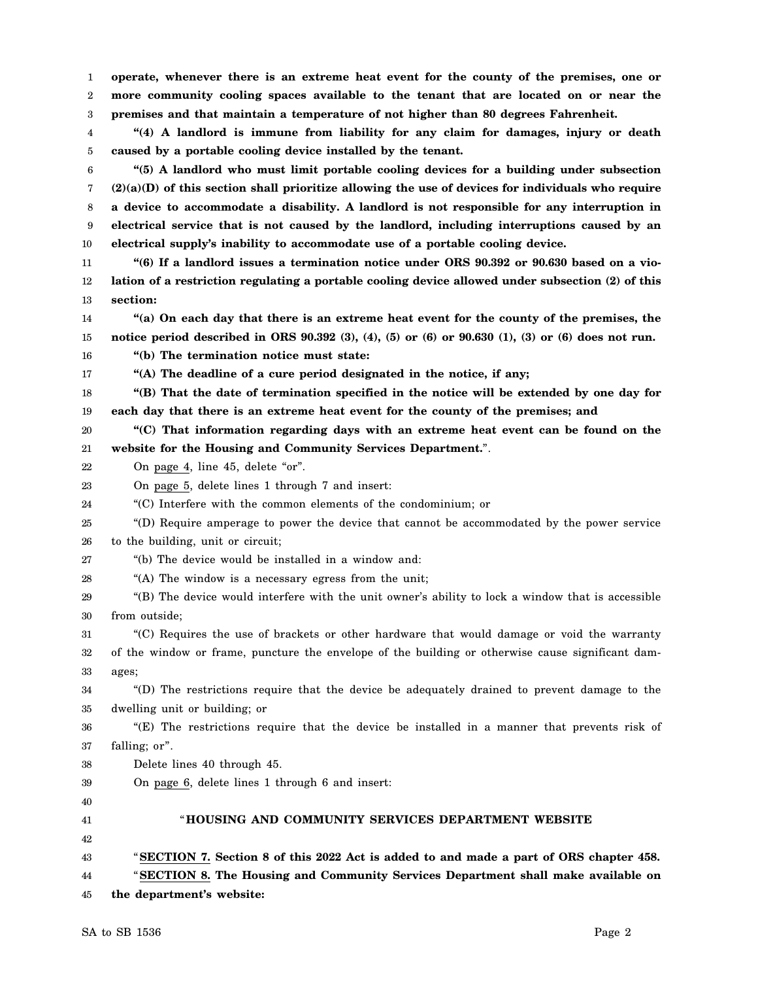1 2 3 **operate, whenever there is an extreme heat event for the county of the premises, one or more community cooling spaces available to the tenant that are located on or near the premises and that maintain a temperature of not higher than 80 degrees Fahrenheit.**

4 5 **"(4) A landlord is immune from liability for any claim for damages, injury or death caused by a portable cooling device installed by the tenant.**

6 7 8 9 10 **"(5) A landlord who must limit portable cooling devices for a building under subsection (2)(a)(D) of this section shall prioritize allowing the use of devices for individuals who require a device to accommodate a disability. A landlord is not responsible for any interruption in electrical service that is not caused by the landlord, including interruptions caused by an electrical supply's inability to accommodate use of a portable cooling device.**

11 12 13 **"(6) If a landlord issues a termination notice under ORS 90.392 or 90.630 based on a violation of a restriction regulating a portable cooling device allowed under subsection (2) of this section:**

14 15 **"(a) On each day that there is an extreme heat event for the county of the premises, the notice period described in ORS 90.392 (3), (4), (5) or (6) or 90.630 (1), (3) or (6) does not run.**

16 **"(b) The termination notice must state:**

17 **"(A) The deadline of a cure period designated in the notice, if any;**

18 19 **"(B) That the date of termination specified in the notice will be extended by one day for each day that there is an extreme heat event for the county of the premises; and**

20 21 **"(C) That information regarding days with an extreme heat event can be found on the website for the Housing and Community Services Department.**".

22 On page 4, line 45, delete "or".

23 On page 5, delete lines 1 through 7 and insert:

24 "(C) Interfere with the common elements of the condominium; or

25 26 "(D) Require amperage to power the device that cannot be accommodated by the power service to the building, unit or circuit;

27 "(b) The device would be installed in a window and:

28 "(A) The window is a necessary egress from the unit;

29 30 "(B) The device would interfere with the unit owner's ability to lock a window that is accessible from outside;

31 32 33 "(C) Requires the use of brackets or other hardware that would damage or void the warranty of the window or frame, puncture the envelope of the building or otherwise cause significant damages;

34 35 "(D) The restrictions require that the device be adequately drained to prevent damage to the dwelling unit or building; or

36 37 "(E) The restrictions require that the device be installed in a manner that prevents risk of falling; or".

38 Delete lines 40 through 45.

39 On page 6, delete lines 1 through 6 and insert:

40 41 42 43 44 "**HOUSING AND COMMUNITY SERVICES DEPARTMENT WEBSITE** "**SECTION 7. Section 8 of this 2022 Act is added to and made a part of ORS chapter 458.** "**SECTION 8. The Housing and Community Services Department shall make available on**

45 **the department's website:**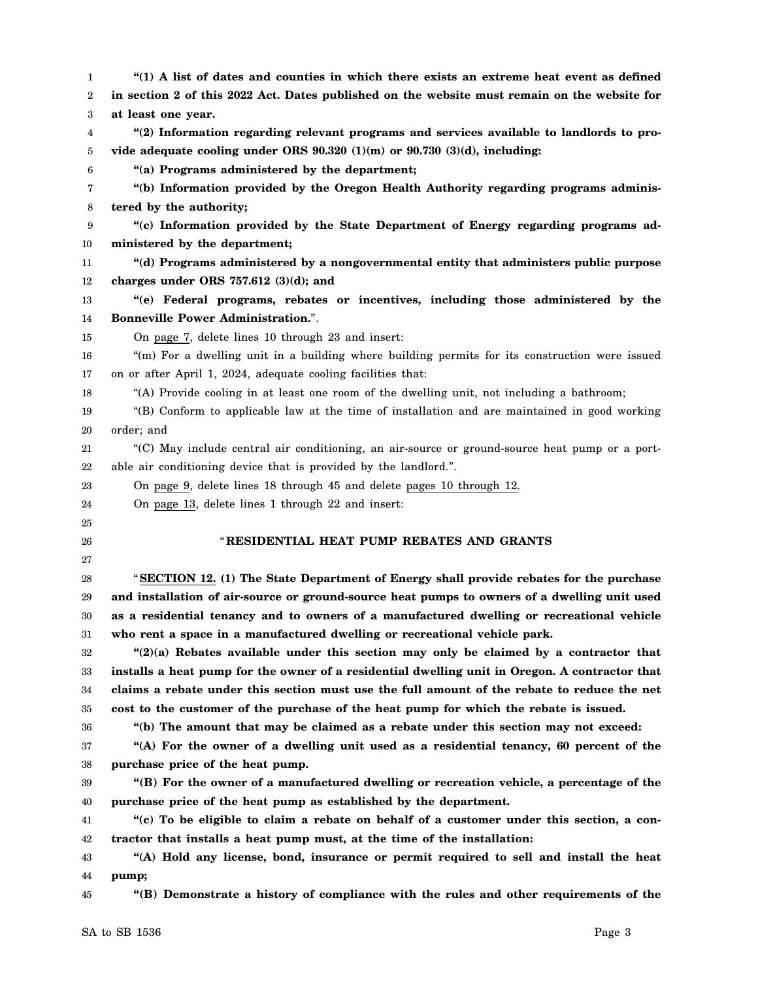| 1      | "(1) A list of dates and counties in which there exists an extreme heat event as defined       |
|--------|------------------------------------------------------------------------------------------------|
| 2      | in section 2 of this 2022 Act. Dates published on the website must remain on the website for   |
| 3      | at least one year.                                                                             |
| 4      | "(2) Information regarding relevant programs and services available to landlords to pro-       |
| 5      | vide adequate cooling under ORS $90.320$ (1)(m) or $90.730$ (3)(d), including:                 |
| 6      | "(a) Programs administered by the department;                                                  |
| 7      | "(b) Information provided by the Oregon Health Authority regarding programs adminis-           |
| 8      | tered by the authority;                                                                        |
| 9      | "(c) Information provided by the State Department of Energy regarding programs ad-             |
| $10\,$ | ministered by the department;                                                                  |
| 11     | "(d) Programs administered by a nongovernmental entity that administers public purpose         |
| 12     | charges under ORS $757.612$ (3)(d); and                                                        |
| 13     | "(e) Federal programs, rebates or incentives, including those administered by the              |
| 14     | <b>Bonneville Power Administration.".</b>                                                      |
| 15     | On page 7, delete lines 10 through 23 and insert:                                              |
| 16     | "(m) For a dwelling unit in a building where building permits for its construction were issued |
| 17     | on or after April 1, 2024, adequate cooling facilities that:                                   |
| 18     | "(A) Provide cooling in at least one room of the dwelling unit, not including a bathroom;      |
| 19     | "(B) Conform to applicable law at the time of installation and are maintained in good working  |
| 20     | order; and                                                                                     |
| $21\,$ | "(C) May include central air conditioning, an air-source or ground-source heat pump or a port- |
| 22     | able air conditioning device that is provided by the landlord.".                               |
| 23     | On page 9, delete lines 18 through 45 and delete pages 10 through 12.                          |
| 24     | On page 13, delete lines 1 through 22 and insert:                                              |
| 25     |                                                                                                |
| 26     | "RESIDENTIAL HEAT PUMP REBATES AND GRANTS                                                      |
| 27     |                                                                                                |
| 28     | "SECTION 12. (1) The State Department of Energy shall provide rebates for the purchase         |
| 29     | and installation of air-source or ground-source heat pumps to owners of a dwelling unit used   |
| 30     | as a residential tenancy and to owners of a manufactured dwelling or recreational vehicle      |
| 31     | who rent a space in a manufactured dwelling or recreational vehicle park.                      |
| 32     | " $(2)(a)$ Rebates available under this section may only be claimed by a contractor that       |
| 33     | installs a heat pump for the owner of a residential dwelling unit in Oregon. A contractor that |
| 34     | claims a rebate under this section must use the full amount of the rebate to reduce the net    |
| 35     | cost to the customer of the purchase of the heat pump for which the rebate is issued.          |
| 36     | "(b) The amount that may be claimed as a rebate under this section may not exceed:             |
| 37     | "(A) For the owner of a dwelling unit used as a residential tenancy, 60 percent of the         |
| 38     | purchase price of the heat pump.                                                               |
| 39     | "(B) For the owner of a manufactured dwelling or recreation vehicle, a percentage of the       |
| 40     | purchase price of the heat pump as established by the department.                              |
| 41     | "(c) To be eligible to claim a rebate on behalf of a customer under this section, a con-       |
| 42     | tractor that installs a heat pump must, at the time of the installation:                       |
| 43     | "(A) Hold any license, bond, insurance or permit required to sell and install the heat         |
| 44     | pump;                                                                                          |
| 45     | "(B) Demonstrate a history of compliance with the rules and other requirements of the          |
|        |                                                                                                |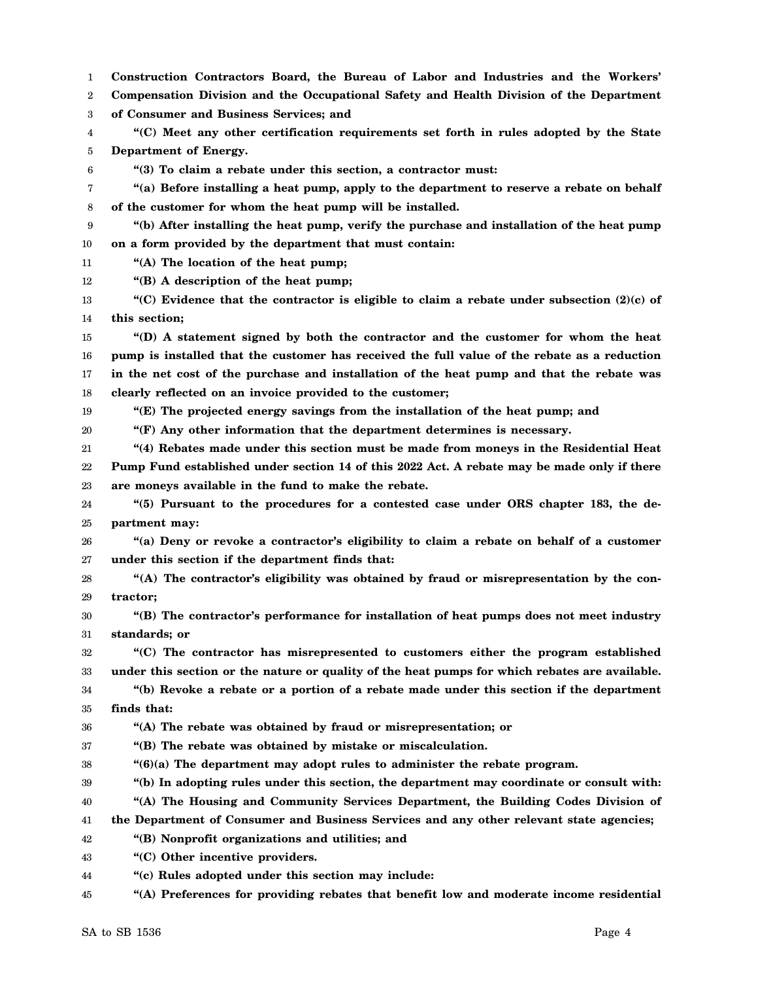1 2 3 4 5 6 7 8 9 10 11 12 13 14 15 16 17 18 19 20 21 22 23 24 25 26 27 28 29 30 31 32 33 34 35 36 37 38 39 40 41 42 43 44 45 **Construction Contractors Board, the Bureau of Labor and Industries and the Workers' Compensation Division and the Occupational Safety and Health Division of the Department of Consumer and Business Services; and "(C) Meet any other certification requirements set forth in rules adopted by the State Department of Energy. "(3) To claim a rebate under this section, a contractor must: "(a) Before installing a heat pump, apply to the department to reserve a rebate on behalf of the customer for whom the heat pump will be installed. "(b) After installing the heat pump, verify the purchase and installation of the heat pump on a form provided by the department that must contain: "(A) The location of the heat pump; "(B) A description of the heat pump; "(C) Evidence that the contractor is eligible to claim a rebate under subsection (2)(c) of this section; "(D) A statement signed by both the contractor and the customer for whom the heat pump is installed that the customer has received the full value of the rebate as a reduction in the net cost of the purchase and installation of the heat pump and that the rebate was clearly reflected on an invoice provided to the customer; "(E) The projected energy savings from the installation of the heat pump; and "(F) Any other information that the department determines is necessary. "(4) Rebates made under this section must be made from moneys in the Residential Heat Pump Fund established under section 14 of this 2022 Act. A rebate may be made only if there are moneys available in the fund to make the rebate. "(5) Pursuant to the procedures for a contested case under ORS chapter 183, the department may: "(a) Deny or revoke a contractor's eligibility to claim a rebate on behalf of a customer under this section if the department finds that: "(A) The contractor's eligibility was obtained by fraud or misrepresentation by the contractor; "(B) The contractor's performance for installation of heat pumps does not meet industry standards; or "(C) The contractor has misrepresented to customers either the program established under this section or the nature or quality of the heat pumps for which rebates are available. "(b) Revoke a rebate or a portion of a rebate made under this section if the department finds that: "(A) The rebate was obtained by fraud or misrepresentation; or "(B) The rebate was obtained by mistake or miscalculation. "(6)(a) The department may adopt rules to administer the rebate program. "(b) In adopting rules under this section, the department may coordinate or consult with: "(A) The Housing and Community Services Department, the Building Codes Division of the Department of Consumer and Business Services and any other relevant state agencies; "(B) Nonprofit organizations and utilities; and "(C) Other incentive providers. "(c) Rules adopted under this section may include: "(A) Preferences for providing rebates that benefit low and moderate income residential**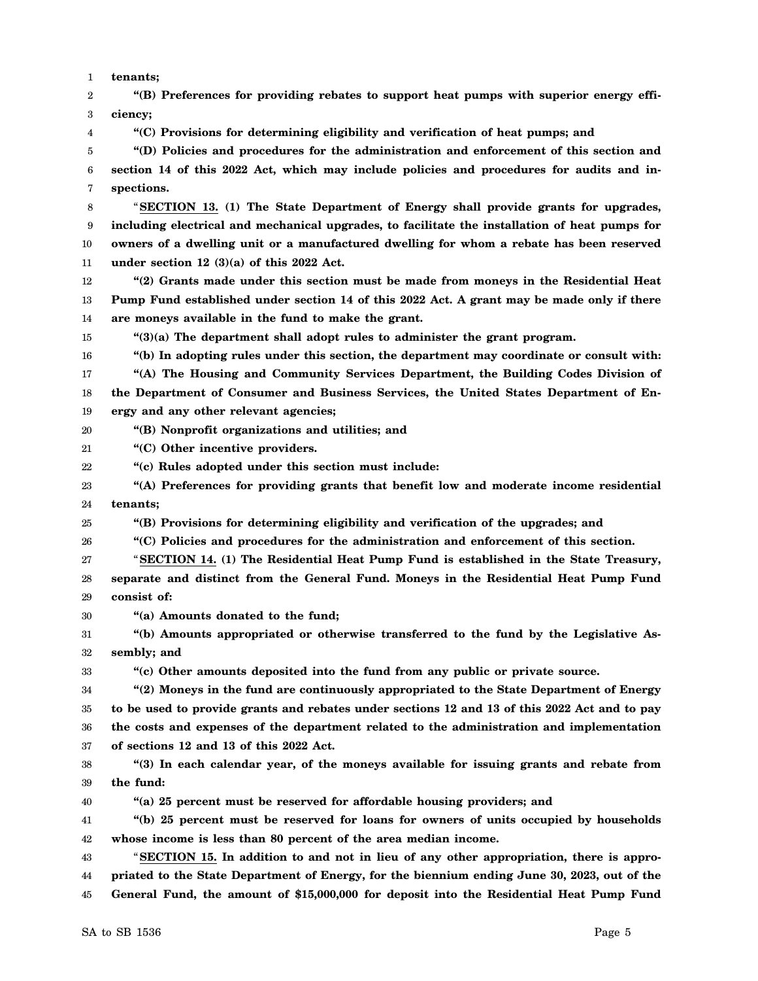1 **tenants;**

2 3 4 5 6 7 8 9 10 11 12 13 14 15 16 17 18 19 20 21 22 23 24 25 26 27 28 29 30 31 32 33 34 35 36 37 38 39 40 41 42 43 44 **"(B) Preferences for providing rebates to support heat pumps with superior energy efficiency; "(C) Provisions for determining eligibility and verification of heat pumps; and "(D) Policies and procedures for the administration and enforcement of this section and section 14 of this 2022 Act, which may include policies and procedures for audits and inspections.** "**SECTION 13. (1) The State Department of Energy shall provide grants for upgrades, including electrical and mechanical upgrades, to facilitate the installation of heat pumps for owners of a dwelling unit or a manufactured dwelling for whom a rebate has been reserved under section 12 (3)(a) of this 2022 Act. "(2) Grants made under this section must be made from moneys in the Residential Heat Pump Fund established under section 14 of this 2022 Act. A grant may be made only if there are moneys available in the fund to make the grant. "(3)(a) The department shall adopt rules to administer the grant program. "(b) In adopting rules under this section, the department may coordinate or consult with: "(A) The Housing and Community Services Department, the Building Codes Division of the Department of Consumer and Business Services, the United States Department of Energy and any other relevant agencies; "(B) Nonprofit organizations and utilities; and "(C) Other incentive providers. "(c) Rules adopted under this section must include: "(A) Preferences for providing grants that benefit low and moderate income residential tenants; "(B) Provisions for determining eligibility and verification of the upgrades; and "(C) Policies and procedures for the administration and enforcement of this section.** "**SECTION 14. (1) The Residential Heat Pump Fund is established in the State Treasury, separate and distinct from the General Fund. Moneys in the Residential Heat Pump Fund consist of: "(a) Amounts donated to the fund; "(b) Amounts appropriated or otherwise transferred to the fund by the Legislative Assembly; and "(c) Other amounts deposited into the fund from any public or private source. "(2) Moneys in the fund are continuously appropriated to the State Department of Energy to be used to provide grants and rebates under sections 12 and 13 of this 2022 Act and to pay the costs and expenses of the department related to the administration and implementation of sections 12 and 13 of this 2022 Act. "(3) In each calendar year, of the moneys available for issuing grants and rebate from the fund: "(a) 25 percent must be reserved for affordable housing providers; and "(b) 25 percent must be reserved for loans for owners of units occupied by households whose income is less than 80 percent of the area median income.** "**SECTION 15. In addition to and not in lieu of any other appropriation, there is appropriated to the State Department of Energy, for the biennium ending June 30, 2023, out of the**

45 **General Fund, the amount of \$15,000,000 for deposit into the Residential Heat Pump Fund**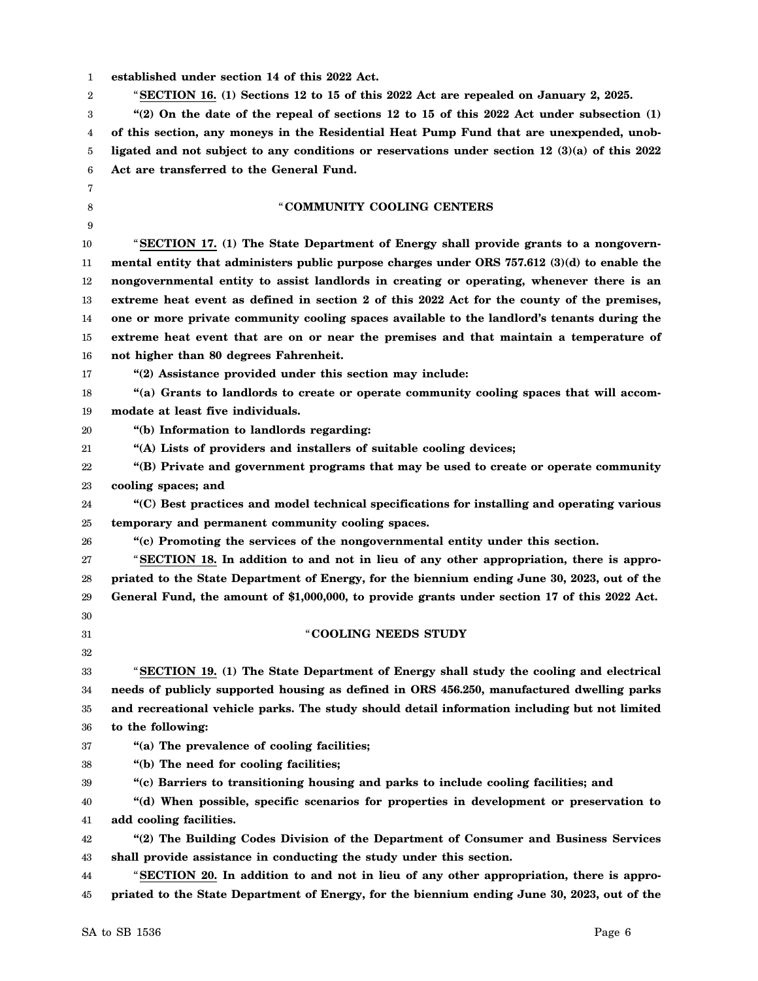| established under section 14 of this 2022 Act. |  |
|------------------------------------------------|--|
|------------------------------------------------|--|

2 "**SECTION 16. (1) Sections 12 to 15 of this 2022 Act are repealed on January 2, 2025.**

3 4 5 6 **"(2) On the date of the repeal of sections 12 to 15 of this 2022 Act under subsection (1) of this section, any moneys in the Residential Heat Pump Fund that are unexpended, unobligated and not subject to any conditions or reservations under section 12 (3)(a) of this 2022 Act are transferred to the General Fund.**

## "**COMMUNITY COOLING CENTERS**

10 11 12 13 14 15 16 "**SECTION 17. (1) The State Department of Energy shall provide grants to a nongovernmental entity that administers public purpose charges under ORS 757.612 (3)(d) to enable the nongovernmental entity to assist landlords in creating or operating, whenever there is an extreme heat event as defined in section 2 of this 2022 Act for the county of the premises, one or more private community cooling spaces available to the landlord's tenants during the extreme heat event that are on or near the premises and that maintain a temperature of not higher than 80 degrees Fahrenheit.**

## 17

7 8 9

**"(2) Assistance provided under this section may include:**

18 19 **"(a) Grants to landlords to create or operate community cooling spaces that will accommodate at least five individuals.**

20 **"(b) Information to landlords regarding:**

21 **"(A) Lists of providers and installers of suitable cooling devices;**

22 23 **"(B) Private and government programs that may be used to create or operate community cooling spaces; and**

24 25 **"(C) Best practices and model technical specifications for installing and operating various temporary and permanent community cooling spaces.**

26

**"(c) Promoting the services of the nongovernmental entity under this section.**

27 28 29 30 "**SECTION 18. In addition to and not in lieu of any other appropriation, there is appropriated to the State Department of Energy, for the biennium ending June 30, 2023, out of the General Fund, the amount of \$1,000,000, to provide grants under section 17 of this 2022 Act.**

31 32

"**COOLING NEEDS STUDY**

33 34 35 36 "**SECTION 19. (1) The State Department of Energy shall study the cooling and electrical needs of publicly supported housing as defined in ORS 456.250, manufactured dwelling parks and recreational vehicle parks. The study should detail information including but not limited to the following:**

- 37 **"(a) The prevalence of cooling facilities;**
- 38 **"(b) The need for cooling facilities;**

39 **"(c) Barriers to transitioning housing and parks to include cooling facilities; and**

40 41 **"(d) When possible, specific scenarios for properties in development or preservation to add cooling facilities.**

42 43 **"(2) The Building Codes Division of the Department of Consumer and Business Services shall provide assistance in conducting the study under this section.**

44 45 "**SECTION 20. In addition to and not in lieu of any other appropriation, there is appropriated to the State Department of Energy, for the biennium ending June 30, 2023, out of the**